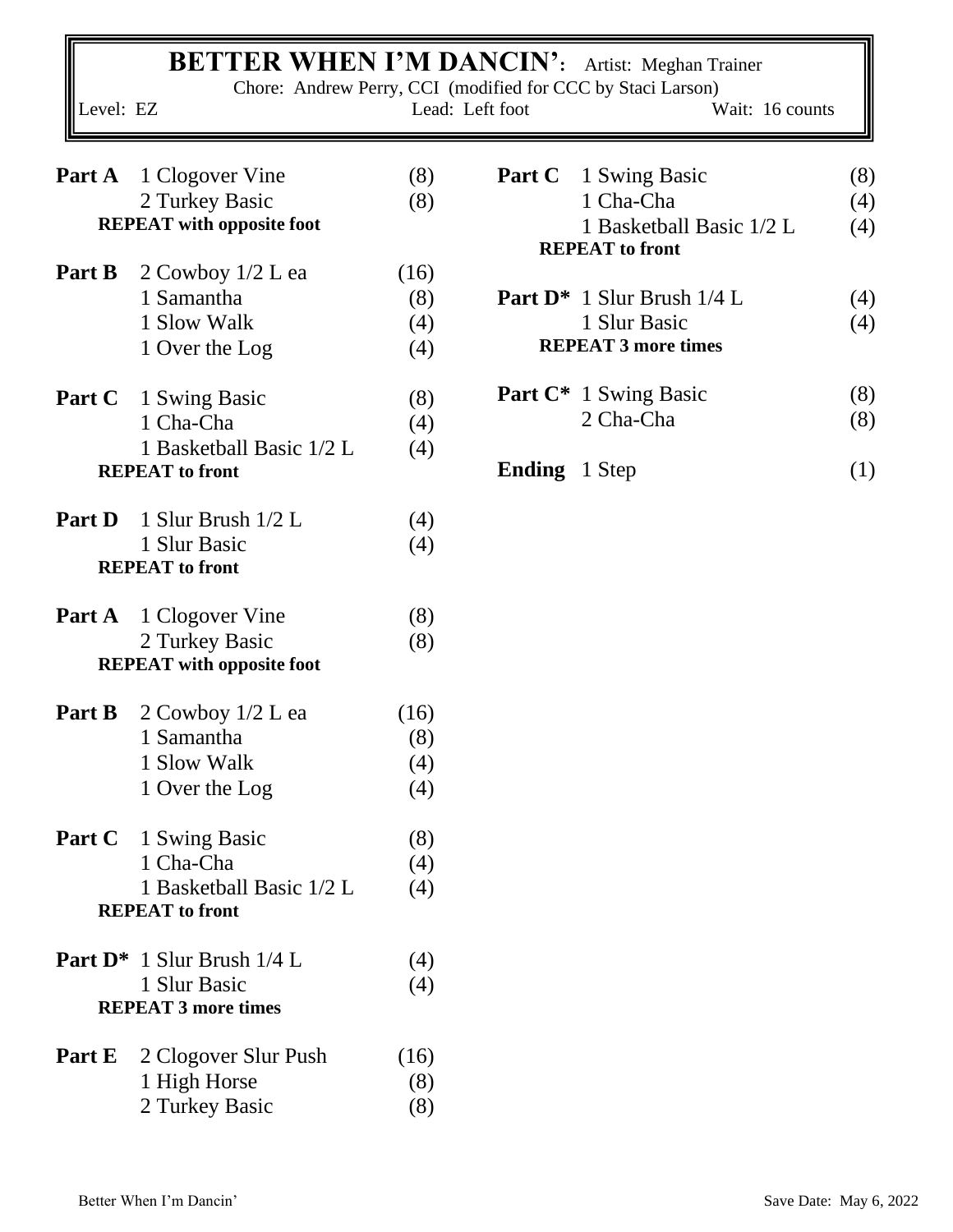|           | <b>BETTER WHEN I'M DANCIN':</b> Artist: Meghan Trainer |      |                      | Chore: Andrew Perry, CCI (modified for CCC by Staci Larson) |     |
|-----------|--------------------------------------------------------|------|----------------------|-------------------------------------------------------------|-----|
| Level: EZ |                                                        |      | Lead: Left foot      | Wait: 16 counts                                             |     |
| Part A    | 1 Clogover Vine                                        | (8)  | Part C               | 1 Swing Basic                                               | (8) |
|           | 2 Turkey Basic                                         | (8)  |                      | 1 Cha-Cha                                                   | (4) |
|           | <b>REPEAT</b> with opposite foot                       |      |                      | 1 Basketball Basic 1/2 L<br><b>REPEAT</b> to front          | (4) |
| Part B    | $2$ Cowboy $1/2$ L ea                                  | (16) |                      |                                                             |     |
|           | 1 Samantha                                             | (8)  |                      | Part D <sup>*</sup> 1 Slur Brush 1/4 L                      | (4) |
|           | 1 Slow Walk                                            | (4)  |                      | 1 Slur Basic                                                | (4) |
|           | 1 Over the Log                                         | (4)  |                      | <b>REPEAT 3 more times</b>                                  |     |
| Part C    | 1 Swing Basic                                          | (8)  |                      | <b>Part C*</b> 1 Swing Basic                                | (8) |
|           | 1 Cha-Cha                                              | (4)  |                      | 2 Cha-Cha                                                   | (8) |
|           | 1 Basketball Basic 1/2 L<br><b>REPEAT</b> to front     | (4)  | <b>Ending</b> 1 Step |                                                             | (1) |
|           |                                                        |      |                      |                                                             |     |
| Part D    | 1 Slur Brush 1/2 L                                     | (4)  |                      |                                                             |     |
|           | 1 Slur Basic                                           | (4)  |                      |                                                             |     |
|           | <b>REPEAT</b> to front                                 |      |                      |                                                             |     |
| Part A    | 1 Clogover Vine                                        | (8)  |                      |                                                             |     |
|           | 2 Turkey Basic                                         | (8)  |                      |                                                             |     |
|           | <b>REPEAT</b> with opposite foot                       |      |                      |                                                             |     |
| Part B    | 2 Cowboy 1/2 L ea                                      | (16) |                      |                                                             |     |
|           | 1 Samantha                                             | (8)  |                      |                                                             |     |
|           | 1 Slow Walk                                            | (4)  |                      |                                                             |     |
|           | 1 Over the Log                                         | (4)  |                      |                                                             |     |
| Part C    | 1 Swing Basic                                          | (8)  |                      |                                                             |     |
|           | 1 Cha-Cha                                              | (4)  |                      |                                                             |     |
|           | 1 Basketball Basic 1/2 L<br><b>REPEAT</b> to front     | (4)  |                      |                                                             |     |
|           |                                                        |      |                      |                                                             |     |
|           | Part D <sup>*</sup> 1 Slur Brush 1/4 L                 | (4)  |                      |                                                             |     |
|           | 1 Slur Basic                                           | (4)  |                      |                                                             |     |
|           | <b>REPEAT 3 more times</b>                             |      |                      |                                                             |     |
| Part E    | 2 Clogover Slur Push                                   | (16) |                      |                                                             |     |
|           | 1 High Horse                                           | (8)  |                      |                                                             |     |
|           | 2 Turkey Basic                                         | (8)  |                      |                                                             |     |
|           |                                                        |      |                      |                                                             |     |